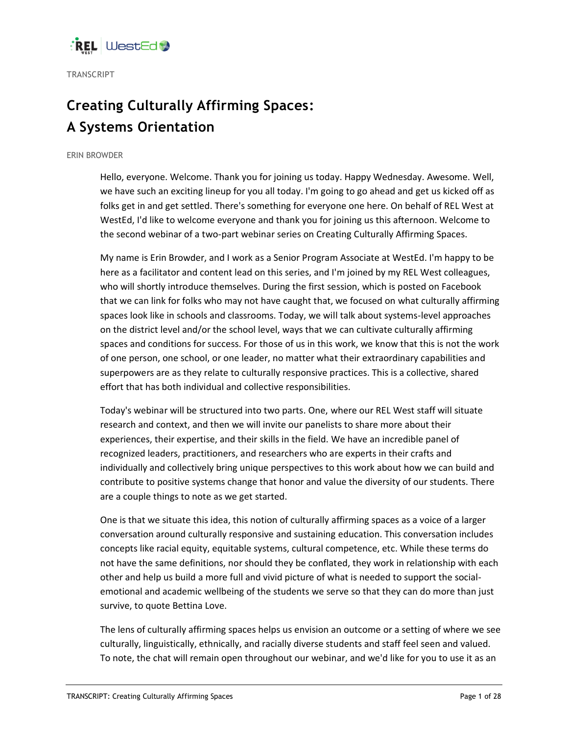

**TRANSCRIPT** 

# **Creating Culturally Affirming Spaces: A Systems Orientation**

# ERIN BROWDER

Hello, everyone. Welcome. Thank you for joining us today. Happy Wednesday. Awesome. Well, we have such an exciting lineup for you all today. I'm going to go ahead and get us kicked off as folks get in and get settled. There's something for everyone one here. On behalf of REL West at WestEd, I'd like to welcome everyone and thank you for joining us this afternoon. Welcome to the second webinar of a two-part webinar series on Creating Culturally Affirming Spaces.

My name is Erin Browder, and I work as a Senior Program Associate at WestEd. I'm happy to be here as a facilitator and content lead on this series, and I'm joined by my REL West colleagues, who will shortly introduce themselves. During the first session, which is posted on Facebook that we can link for folks who may not have caught that, we focused on what culturally affirming spaces look like in schools and classrooms. Today, we will talk about systems-level approaches on the district level and/or the school level, ways that we can cultivate culturally affirming spaces and conditions for success. For those of us in this work, we know that this is not the work of one person, one school, or one leader, no matter what their extraordinary capabilities and superpowers are as they relate to culturally responsive practices. This is a collective, shared effort that has both individual and collective responsibilities.

Today's webinar will be structured into two parts. One, where our REL West staff will situate research and context, and then we will invite our panelists to share more about their experiences, their expertise, and their skills in the field. We have an incredible panel of recognized leaders, practitioners, and researchers who are experts in their crafts and individually and collectively bring unique perspectives to this work about how we can build and contribute to positive systems change that honor and value the diversity of our students. There are a couple things to note as we get started.

One is that we situate this idea, this notion of culturally affirming spaces as a voice of a larger conversation around culturally responsive and sustaining education. This conversation includes concepts like racial equity, equitable systems, cultural competence, etc. While these terms do not have the same definitions, nor should they be conflated, they work in relationship with each other and help us build a more full and vivid picture of what is needed to support the socialemotional and academic wellbeing of the students we serve so that they can do more than just survive, to quote Bettina Love.

The lens of culturally affirming spaces helps us envision an outcome or a setting of where we see culturally, linguistically, ethnically, and racially diverse students and staff feel seen and valued. To note, the chat will remain open throughout our webinar, and we'd like for you to use it as an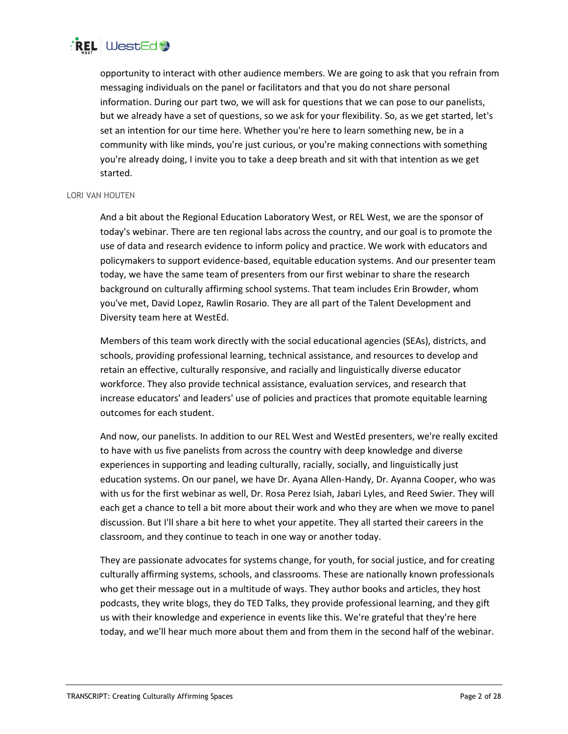

opportunity to interact with other audience members. We are going to ask that you refrain from messaging individuals on the panel or facilitators and that you do not share personal information. During our part two, we will ask for questions that we can pose to our panelists, but we already have a set of questions, so we ask for your flexibility. So, as we get started, let's set an intention for our time here. Whether you're here to learn something new, be in a community with like minds, you're just curious, or you're making connections with something you're already doing, I invite you to take a deep breath and sit with that intention as we get started.

## LORI VAN HOUTEN

And a bit about the Regional Education Laboratory West, or REL West, we are the sponsor of today's webinar. There are ten regional labs across the country, and our goal is to promote the use of data and research evidence to inform policy and practice. We work with educators and policymakers to support evidence-based, equitable education systems. And our presenter team today, we have the same team of presenters from our first webinar to share the research background on culturally affirming school systems. That team includes Erin Browder, whom you've met, David Lopez, Rawlin Rosario. They are all part of the Talent Development and Diversity team here at WestEd.

Members of this team work directly with the social educational agencies (SEAs), districts, and schools, providing professional learning, technical assistance, and resources to develop and retain an effective, culturally responsive, and racially and linguistically diverse educator workforce. They also provide technical assistance, evaluation services, and research that increase educators' and leaders' use of policies and practices that promote equitable learning outcomes for each student.

And now, our panelists. In addition to our REL West and WestEd presenters, we're really excited to have with us five panelists from across the country with deep knowledge and diverse experiences in supporting and leading culturally, racially, socially, and linguistically just education systems. On our panel, we have Dr. Ayana Allen-Handy, Dr. Ayanna Cooper, who was with us for the first webinar as well, Dr. Rosa Perez Isiah, Jabari Lyles, and Reed Swier. They will each get a chance to tell a bit more about their work and who they are when we move to panel discussion. But I'll share a bit here to whet your appetite. They all started their careers in the classroom, and they continue to teach in one way or another today.

They are passionate advocates for systems change, for youth, for social justice, and for creating culturally affirming systems, schools, and classrooms. These are nationally known professionals who get their message out in a multitude of ways. They author books and articles, they host podcasts, they write blogs, they do TED Talks, they provide professional learning, and they gift us with their knowledge and experience in events like this. We're grateful that they're here today, and we'll hear much more about them and from them in the second half of the webinar.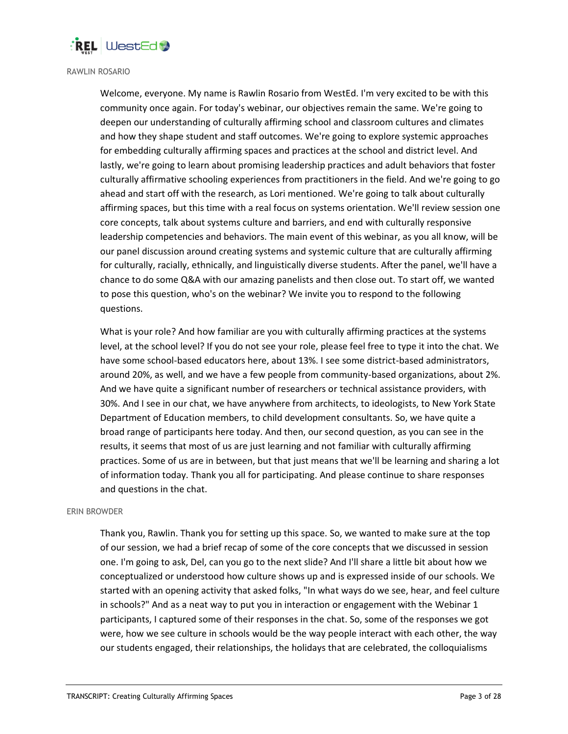

## RAWLIN ROSARIO

Welcome, everyone. My name is Rawlin Rosario from WestEd. I'm very excited to be with this community once again. For today's webinar, our objectives remain the same. We're going to deepen our understanding of culturally affirming school and classroom cultures and climates and how they shape student and staff outcomes. We're going to explore systemic approaches for embedding culturally affirming spaces and practices at the school and district level. And lastly, we're going to learn about promising leadership practices and adult behaviors that foster culturally affirmative schooling experiences from practitioners in the field. And we're going to go ahead and start off with the research, as Lori mentioned. We're going to talk about culturally affirming spaces, but this time with a real focus on systems orientation. We'll review session one core concepts, talk about systems culture and barriers, and end with culturally responsive leadership competencies and behaviors. The main event of this webinar, as you all know, will be our panel discussion around creating systems and systemic culture that are culturally affirming for culturally, racially, ethnically, and linguistically diverse students. After the panel, we'll have a chance to do some Q&A with our amazing panelists and then close out. To start off, we wanted to pose this question, who's on the webinar? We invite you to respond to the following questions.

What is your role? And how familiar are you with culturally affirming practices at the systems level, at the school level? If you do not see your role, please feel free to type it into the chat. We have some school-based educators here, about 13%. I see some district-based administrators, around 20%, as well, and we have a few people from community-based organizations, about 2%. And we have quite a significant number of researchers or technical assistance providers, with 30%. And I see in our chat, we have anywhere from architects, to ideologists, to New York State Department of Education members, to child development consultants. So, we have quite a broad range of participants here today. And then, our second question, as you can see in the results, it seems that most of us are just learning and not familiar with culturally affirming practices. Some of us are in between, but that just means that we'll be learning and sharing a lot of information today. Thank you all for participating. And please continue to share responses and questions in the chat.

## ERIN BROWDER

Thank you, Rawlin. Thank you for setting up this space. So, we wanted to make sure at the top of our session, we had a brief recap of some of the core concepts that we discussed in session one. I'm going to ask, Del, can you go to the next slide? And I'll share a little bit about how we conceptualized or understood how culture shows up and is expressed inside of our schools. We started with an opening activity that asked folks, "In what ways do we see, hear, and feel culture in schools?" And as a neat way to put you in interaction or engagement with the Webinar 1 participants, I captured some of their responses in the chat. So, some of the responses we got were, how we see culture in schools would be the way people interact with each other, the way our students engaged, their relationships, the holidays that are celebrated, the colloquialisms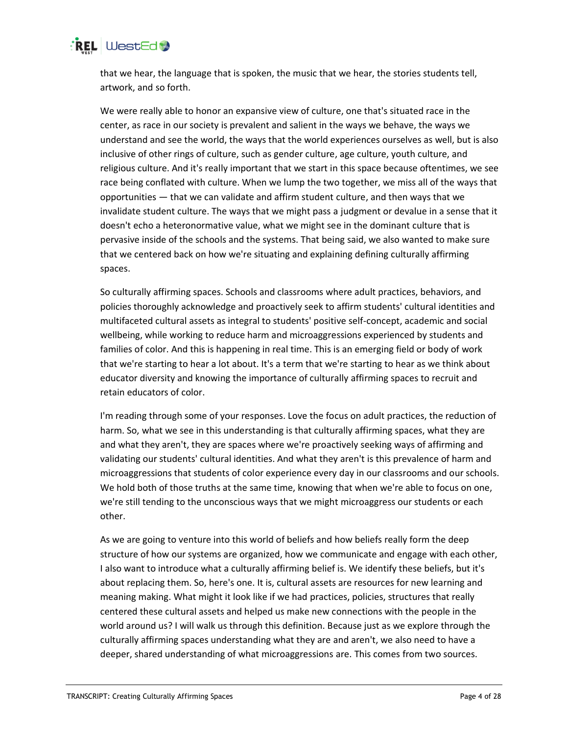

that we hear, the language that is spoken, the music that we hear, the stories students tell, artwork, and so forth.

We were really able to honor an expansive view of culture, one that's situated race in the center, as race in our society is prevalent and salient in the ways we behave, the ways we understand and see the world, the ways that the world experiences ourselves as well, but is also inclusive of other rings of culture, such as gender culture, age culture, youth culture, and religious culture. And it's really important that we start in this space because oftentimes, we see race being conflated with culture. When we lump the two together, we miss all of the ways that opportunities — that we can validate and affirm student culture, and then ways that we invalidate student culture. The ways that we might pass a judgment or devalue in a sense that it doesn't echo a heteronormative value, what we might see in the dominant culture that is pervasive inside of the schools and the systems. That being said, we also wanted to make sure that we centered back on how we're situating and explaining defining culturally affirming spaces.

So culturally affirming spaces. Schools and classrooms where adult practices, behaviors, and policies thoroughly acknowledge and proactively seek to affirm students' cultural identities and multifaceted cultural assets as integral to students' positive self-concept, academic and social wellbeing, while working to reduce harm and microaggressions experienced by students and families of color. And this is happening in real time. This is an emerging field or body of work that we're starting to hear a lot about. It's a term that we're starting to hear as we think about educator diversity and knowing the importance of culturally affirming spaces to recruit and retain educators of color.

I'm reading through some of your responses. Love the focus on adult practices, the reduction of harm. So, what we see in this understanding is that culturally affirming spaces, what they are and what they aren't, they are spaces where we're proactively seeking ways of affirming and validating our students' cultural identities. And what they aren't is this prevalence of harm and microaggressions that students of color experience every day in our classrooms and our schools. We hold both of those truths at the same time, knowing that when we're able to focus on one, we're still tending to the unconscious ways that we might microaggress our students or each other.

As we are going to venture into this world of beliefs and how beliefs really form the deep structure of how our systems are organized, how we communicate and engage with each other, I also want to introduce what a culturally affirming belief is. We identify these beliefs, but it's about replacing them. So, here's one. It is, cultural assets are resources for new learning and meaning making. What might it look like if we had practices, policies, structures that really centered these cultural assets and helped us make new connections with the people in the world around us? I will walk us through this definition. Because just as we explore through the culturally affirming spaces understanding what they are and aren't, we also need to have a deeper, shared understanding of what microaggressions are. This comes from two sources.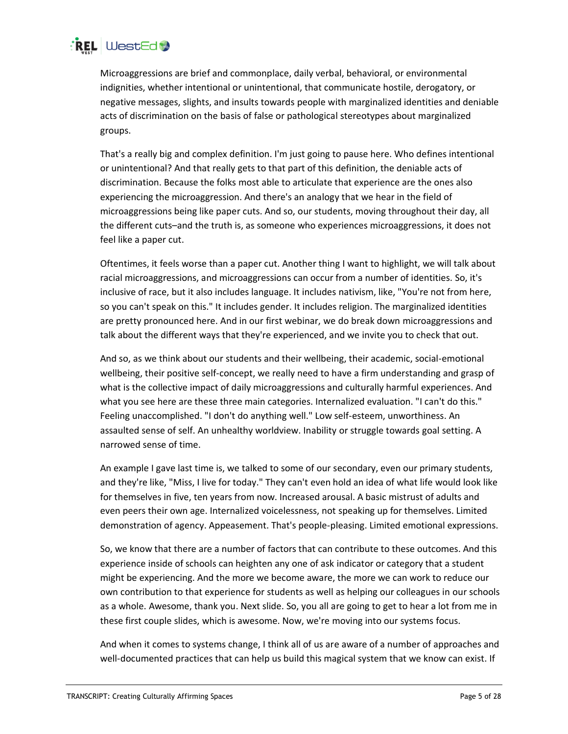

Microaggressions are brief and commonplace, daily verbal, behavioral, or environmental indignities, whether intentional or unintentional, that communicate hostile, derogatory, or negative messages, slights, and insults towards people with marginalized identities and deniable acts of discrimination on the basis of false or pathological stereotypes about marginalized groups.

That's a really big and complex definition. I'm just going to pause here. Who defines intentional or unintentional? And that really gets to that part of this definition, the deniable acts of discrimination. Because the folks most able to articulate that experience are the ones also experiencing the microaggression. And there's an analogy that we hear in the field of microaggressions being like paper cuts. And so, our students, moving throughout their day, all the different cuts–and the truth is, as someone who experiences microaggressions, it does not feel like a paper cut.

Oftentimes, it feels worse than a paper cut. Another thing I want to highlight, we will talk about racial microaggressions, and microaggressions can occur from a number of identities. So, it's inclusive of race, but it also includes language. It includes nativism, like, "You're not from here, so you can't speak on this." It includes gender. It includes religion. The marginalized identities are pretty pronounced here. And in our first webinar, we do break down microaggressions and talk about the different ways that they're experienced, and we invite you to check that out.

And so, as we think about our students and their wellbeing, their academic, social-emotional wellbeing, their positive self-concept, we really need to have a firm understanding and grasp of what is the collective impact of daily microaggressions and culturally harmful experiences. And what you see here are these three main categories. Internalized evaluation. "I can't do this." Feeling unaccomplished. "I don't do anything well." Low self-esteem, unworthiness. An assaulted sense of self. An unhealthy worldview. Inability or struggle towards goal setting. A narrowed sense of time.

An example I gave last time is, we talked to some of our secondary, even our primary students, and they're like, "Miss, I live for today." They can't even hold an idea of what life would look like for themselves in five, ten years from now. Increased arousal. A basic mistrust of adults and even peers their own age. Internalized voicelessness, not speaking up for themselves. Limited demonstration of agency. Appeasement. That's people-pleasing. Limited emotional expressions.

So, we know that there are a number of factors that can contribute to these outcomes. And this experience inside of schools can heighten any one of ask indicator or category that a student might be experiencing. And the more we become aware, the more we can work to reduce our own contribution to that experience for students as well as helping our colleagues in our schools as a whole. Awesome, thank you. Next slide. So, you all are going to get to hear a lot from me in these first couple slides, which is awesome. Now, we're moving into our systems focus.

And when it comes to systems change, I think all of us are aware of a number of approaches and well-documented practices that can help us build this magical system that we know can exist. If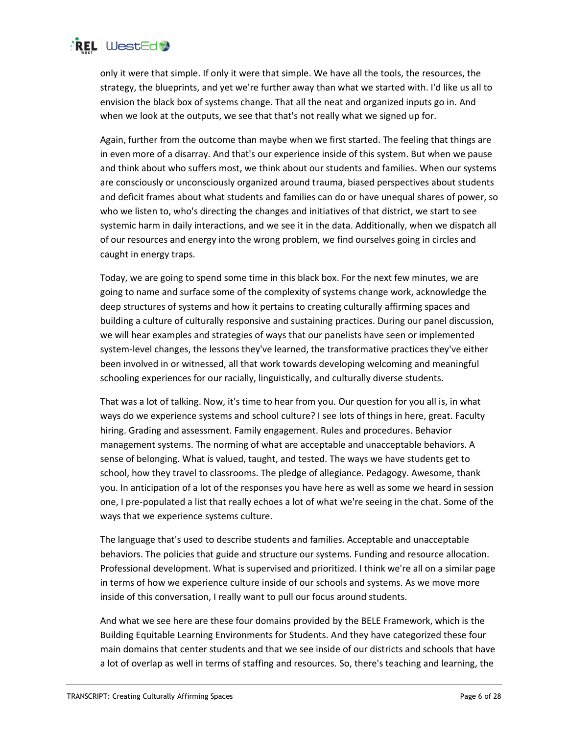

only it were that simple. If only it were that simple. We have all the tools, the resources, the strategy, the blueprints, and yet we're further away than what we started with. I'd like us all to envision the black box of systems change. That all the neat and organized inputs go in. And when we look at the outputs, we see that that's not really what we signed up for.

Again, further from the outcome than maybe when we first started. The feeling that things are in even more of a disarray. And that's our experience inside of this system. But when we pause and think about who suffers most, we think about our students and families. When our systems are consciously or unconsciously organized around trauma, biased perspectives about students and deficit frames about what students and families can do or have unequal shares of power, so who we listen to, who's directing the changes and initiatives of that district, we start to see systemic harm in daily interactions, and we see it in the data. Additionally, when we dispatch all of our resources and energy into the wrong problem, we find ourselves going in circles and caught in energy traps.

Today, we are going to spend some time in this black box. For the next few minutes, we are going to name and surface some of the complexity of systems change work, acknowledge the deep structures of systems and how it pertains to creating culturally affirming spaces and building a culture of culturally responsive and sustaining practices. During our panel discussion, we will hear examples and strategies of ways that our panelists have seen or implemented system-level changes, the lessons they've learned, the transformative practices they've either been involved in or witnessed, all that work towards developing welcoming and meaningful schooling experiences for our racially, linguistically, and culturally diverse students.

That was a lot of talking. Now, it's time to hear from you. Our question for you all is, in what ways do we experience systems and school culture? I see lots of things in here, great. Faculty hiring. Grading and assessment. Family engagement. Rules and procedures. Behavior management systems. The norming of what are acceptable and unacceptable behaviors. A sense of belonging. What is valued, taught, and tested. The ways we have students get to school, how they travel to classrooms. The pledge of allegiance. Pedagogy. Awesome, thank you. In anticipation of a lot of the responses you have here as well as some we heard in session one, I pre-populated a list that really echoes a lot of what we're seeing in the chat. Some of the ways that we experience systems culture.

The language that's used to describe students and families. Acceptable and unacceptable behaviors. The policies that guide and structure our systems. Funding and resource allocation. Professional development. What is supervised and prioritized. I think we're all on a similar page in terms of how we experience culture inside of our schools and systems. As we move more inside of this conversation, I really want to pull our focus around students.

And what we see here are these four domains provided by the BELE Framework, which is the Building Equitable Learning Environments for Students. And they have categorized these four main domains that center students and that we see inside of our districts and schools that have a lot of overlap as well in terms of staffing and resources. So, there's teaching and learning, the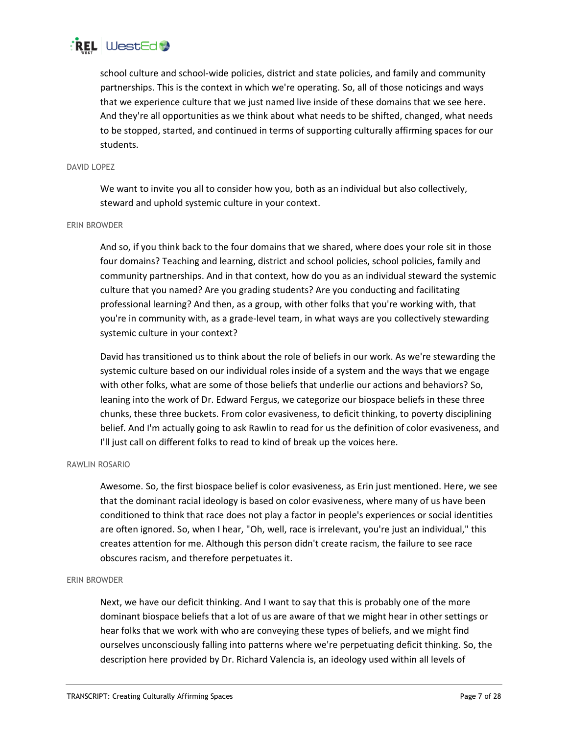

school culture and school-wide policies, district and state policies, and family and community partnerships. This is the context in which we're operating. So, all of those noticings and ways that we experience culture that we just named live inside of these domains that we see here. And they're all opportunities as we think about what needs to be shifted, changed, what needs to be stopped, started, and continued in terms of supporting culturally affirming spaces for our students.

#### DAVID LOPEZ

We want to invite you all to consider how you, both as an individual but also collectively, steward and uphold systemic culture in your context.

## ERIN BROWDER

And so, if you think back to the four domains that we shared, where does your role sit in those four domains? Teaching and learning, district and school policies, school policies, family and community partnerships. And in that context, how do you as an individual steward the systemic culture that you named? Are you grading students? Are you conducting and facilitating professional learning? And then, as a group, with other folks that you're working with, that you're in community with, as a grade-level team, in what ways are you collectively stewarding systemic culture in your context?

David has transitioned us to think about the role of beliefs in our work. As we're stewarding the systemic culture based on our individual roles inside of a system and the ways that we engage with other folks, what are some of those beliefs that underlie our actions and behaviors? So, leaning into the work of Dr. Edward Fergus, we categorize our biospace beliefs in these three chunks, these three buckets. From color evasiveness, to deficit thinking, to poverty disciplining belief. And I'm actually going to ask Rawlin to read for us the definition of color evasiveness, and I'll just call on different folks to read to kind of break up the voices here.

## RAWLIN ROSARIO

Awesome. So, the first biospace belief is color evasiveness, as Erin just mentioned. Here, we see that the dominant racial ideology is based on color evasiveness, where many of us have been conditioned to think that race does not play a factor in people's experiences or social identities are often ignored. So, when I hear, "Oh, well, race is irrelevant, you're just an individual," this creates attention for me. Although this person didn't create racism, the failure to see race obscures racism, and therefore perpetuates it.

#### ERIN BROWDER

Next, we have our deficit thinking. And I want to say that this is probably one of the more dominant biospace beliefs that a lot of us are aware of that we might hear in other settings or hear folks that we work with who are conveying these types of beliefs, and we might find ourselves unconsciously falling into patterns where we're perpetuating deficit thinking. So, the description here provided by Dr. Richard Valencia is, an ideology used within all levels of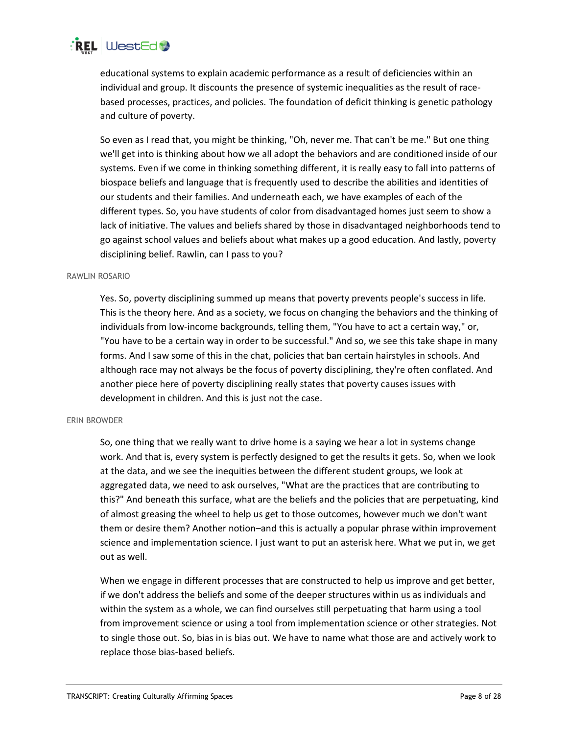

educational systems to explain academic performance as a result of deficiencies within an individual and group. It discounts the presence of systemic inequalities as the result of racebased processes, practices, and policies. The foundation of deficit thinking is genetic pathology and culture of poverty.

So even as I read that, you might be thinking, "Oh, never me. That can't be me." But one thing we'll get into is thinking about how we all adopt the behaviors and are conditioned inside of our systems. Even if we come in thinking something different, it is really easy to fall into patterns of biospace beliefs and language that is frequently used to describe the abilities and identities of our students and their families. And underneath each, we have examples of each of the different types. So, you have students of color from disadvantaged homes just seem to show a lack of initiative. The values and beliefs shared by those in disadvantaged neighborhoods tend to go against school values and beliefs about what makes up a good education. And lastly, poverty disciplining belief. Rawlin, can I pass to you?

#### RAWLIN ROSARIO

Yes. So, poverty disciplining summed up means that poverty prevents people's success in life. This is the theory here. And as a society, we focus on changing the behaviors and the thinking of individuals from low-income backgrounds, telling them, "You have to act a certain way," or, "You have to be a certain way in order to be successful." And so, we see this take shape in many forms. And I saw some of this in the chat, policies that ban certain hairstyles in schools. And although race may not always be the focus of poverty disciplining, they're often conflated. And another piece here of poverty disciplining really states that poverty causes issues with development in children. And this is just not the case.

## ERIN BROWDER

So, one thing that we really want to drive home is a saying we hear a lot in systems change work. And that is, every system is perfectly designed to get the results it gets. So, when we look at the data, and we see the inequities between the different student groups, we look at aggregated data, we need to ask ourselves, "What are the practices that are contributing to this?" And beneath this surface, what are the beliefs and the policies that are perpetuating, kind of almost greasing the wheel to help us get to those outcomes, however much we don't want them or desire them? Another notion–and this is actually a popular phrase within improvement science and implementation science. I just want to put an asterisk here. What we put in, we get out as well.

When we engage in different processes that are constructed to help us improve and get better, if we don't address the beliefs and some of the deeper structures within us as individuals and within the system as a whole, we can find ourselves still perpetuating that harm using a tool from improvement science or using a tool from implementation science or other strategies. Not to single those out. So, bias in is bias out. We have to name what those are and actively work to replace those bias-based beliefs.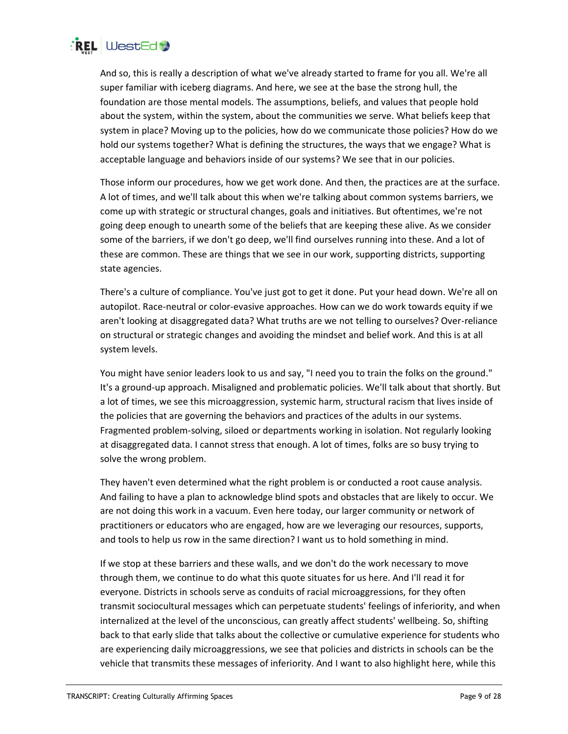

And so, this is really a description of what we've already started to frame for you all. We're all super familiar with iceberg diagrams. And here, we see at the base the strong hull, the foundation are those mental models. The assumptions, beliefs, and values that people hold about the system, within the system, about the communities we serve. What beliefs keep that system in place? Moving up to the policies, how do we communicate those policies? How do we hold our systems together? What is defining the structures, the ways that we engage? What is acceptable language and behaviors inside of our systems? We see that in our policies.

Those inform our procedures, how we get work done. And then, the practices are at the surface. A lot of times, and we'll talk about this when we're talking about common systems barriers, we come up with strategic or structural changes, goals and initiatives. But oftentimes, we're not going deep enough to unearth some of the beliefs that are keeping these alive. As we consider some of the barriers, if we don't go deep, we'll find ourselves running into these. And a lot of these are common. These are things that we see in our work, supporting districts, supporting state agencies.

There's a culture of compliance. You've just got to get it done. Put your head down. We're all on autopilot. Race-neutral or color-evasive approaches. How can we do work towards equity if we aren't looking at disaggregated data? What truths are we not telling to ourselves? Over-reliance on structural or strategic changes and avoiding the mindset and belief work. And this is at all system levels.

You might have senior leaders look to us and say, "I need you to train the folks on the ground." It's a ground-up approach. Misaligned and problematic policies. We'll talk about that shortly. But a lot of times, we see this microaggression, systemic harm, structural racism that lives inside of the policies that are governing the behaviors and practices of the adults in our systems. Fragmented problem-solving, siloed or departments working in isolation. Not regularly looking at disaggregated data. I cannot stress that enough. A lot of times, folks are so busy trying to solve the wrong problem.

They haven't even determined what the right problem is or conducted a root cause analysis. And failing to have a plan to acknowledge blind spots and obstacles that are likely to occur. We are not doing this work in a vacuum. Even here today, our larger community or network of practitioners or educators who are engaged, how are we leveraging our resources, supports, and tools to help us row in the same direction? I want us to hold something in mind.

If we stop at these barriers and these walls, and we don't do the work necessary to move through them, we continue to do what this quote situates for us here. And I'll read it for everyone. Districts in schools serve as conduits of racial microaggressions, for they often transmit sociocultural messages which can perpetuate students' feelings of inferiority, and when internalized at the level of the unconscious, can greatly affect students' wellbeing. So, shifting back to that early slide that talks about the collective or cumulative experience for students who are experiencing daily microaggressions, we see that policies and districts in schools can be the vehicle that transmits these messages of inferiority. And I want to also highlight here, while this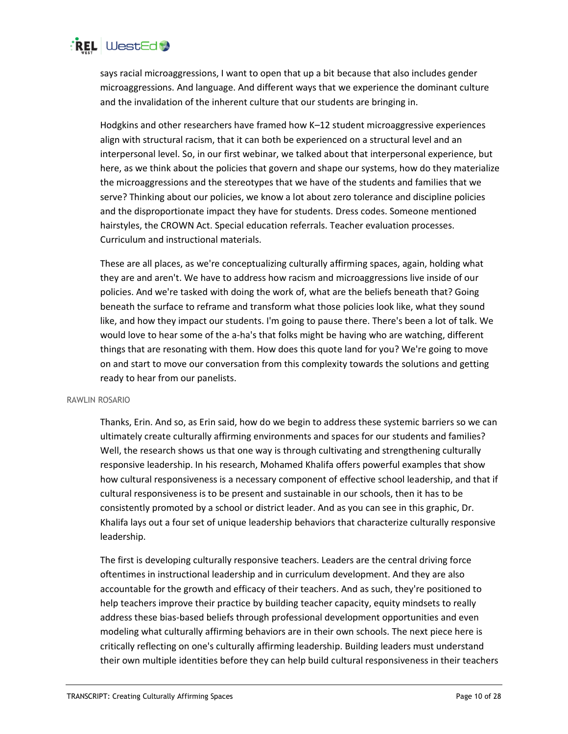

says racial microaggressions, I want to open that up a bit because that also includes gender microaggressions. And language. And different ways that we experience the dominant culture and the invalidation of the inherent culture that our students are bringing in.

Hodgkins and other researchers have framed how K–12 student microaggressive experiences align with structural racism, that it can both be experienced on a structural level and an interpersonal level. So, in our first webinar, we talked about that interpersonal experience, but here, as we think about the policies that govern and shape our systems, how do they materialize the microaggressions and the stereotypes that we have of the students and families that we serve? Thinking about our policies, we know a lot about zero tolerance and discipline policies and the disproportionate impact they have for students. Dress codes. Someone mentioned hairstyles, the CROWN Act. Special education referrals. Teacher evaluation processes. Curriculum and instructional materials.

These are all places, as we're conceptualizing culturally affirming spaces, again, holding what they are and aren't. We have to address how racism and microaggressions live inside of our policies. And we're tasked with doing the work of, what are the beliefs beneath that? Going beneath the surface to reframe and transform what those policies look like, what they sound like, and how they impact our students. I'm going to pause there. There's been a lot of talk. We would love to hear some of the a-ha's that folks might be having who are watching, different things that are resonating with them. How does this quote land for you? We're going to move on and start to move our conversation from this complexity towards the solutions and getting ready to hear from our panelists.

## RAWLIN ROSARIO

Thanks, Erin. And so, as Erin said, how do we begin to address these systemic barriers so we can ultimately create culturally affirming environments and spaces for our students and families? Well, the research shows us that one way is through cultivating and strengthening culturally responsive leadership. In his research, Mohamed Khalifa offers powerful examples that show how cultural responsiveness is a necessary component of effective school leadership, and that if cultural responsiveness is to be present and sustainable in our schools, then it has to be consistently promoted by a school or district leader. And as you can see in this graphic, Dr. Khalifa lays out a four set of unique leadership behaviors that characterize culturally responsive leadership.

The first is developing culturally responsive teachers. Leaders are the central driving force oftentimes in instructional leadership and in curriculum development. And they are also accountable for the growth and efficacy of their teachers. And as such, they're positioned to help teachers improve their practice by building teacher capacity, equity mindsets to really address these bias-based beliefs through professional development opportunities and even modeling what culturally affirming behaviors are in their own schools. The next piece here is critically reflecting on one's culturally affirming leadership. Building leaders must understand their own multiple identities before they can help build cultural responsiveness in their teachers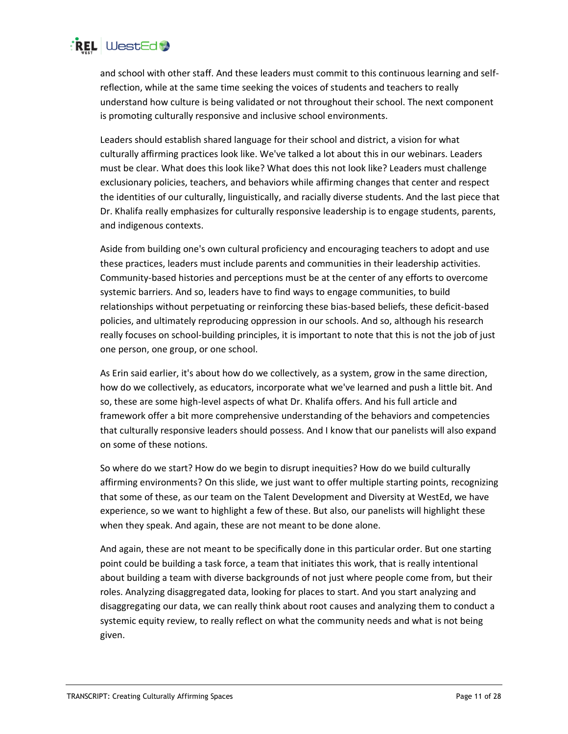

and school with other staff. And these leaders must commit to this continuous learning and selfreflection, while at the same time seeking the voices of students and teachers to really understand how culture is being validated or not throughout their school. The next component is promoting culturally responsive and inclusive school environments.

Leaders should establish shared language for their school and district, a vision for what culturally affirming practices look like. We've talked a lot about this in our webinars. Leaders must be clear. What does this look like? What does this not look like? Leaders must challenge exclusionary policies, teachers, and behaviors while affirming changes that center and respect the identities of our culturally, linguistically, and racially diverse students. And the last piece that Dr. Khalifa really emphasizes for culturally responsive leadership is to engage students, parents, and indigenous contexts.

Aside from building one's own cultural proficiency and encouraging teachers to adopt and use these practices, leaders must include parents and communities in their leadership activities. Community-based histories and perceptions must be at the center of any efforts to overcome systemic barriers. And so, leaders have to find ways to engage communities, to build relationships without perpetuating or reinforcing these bias-based beliefs, these deficit-based policies, and ultimately reproducing oppression in our schools. And so, although his research really focuses on school-building principles, it is important to note that this is not the job of just one person, one group, or one school.

As Erin said earlier, it's about how do we collectively, as a system, grow in the same direction, how do we collectively, as educators, incorporate what we've learned and push a little bit. And so, these are some high-level aspects of what Dr. Khalifa offers. And his full article and framework offer a bit more comprehensive understanding of the behaviors and competencies that culturally responsive leaders should possess. And I know that our panelists will also expand on some of these notions.

So where do we start? How do we begin to disrupt inequities? How do we build culturally affirming environments? On this slide, we just want to offer multiple starting points, recognizing that some of these, as our team on the Talent Development and Diversity at WestEd, we have experience, so we want to highlight a few of these. But also, our panelists will highlight these when they speak. And again, these are not meant to be done alone.

And again, these are not meant to be specifically done in this particular order. But one starting point could be building a task force, a team that initiates this work, that is really intentional about building a team with diverse backgrounds of not just where people come from, but their roles. Analyzing disaggregated data, looking for places to start. And you start analyzing and disaggregating our data, we can really think about root causes and analyzing them to conduct a systemic equity review, to really reflect on what the community needs and what is not being given.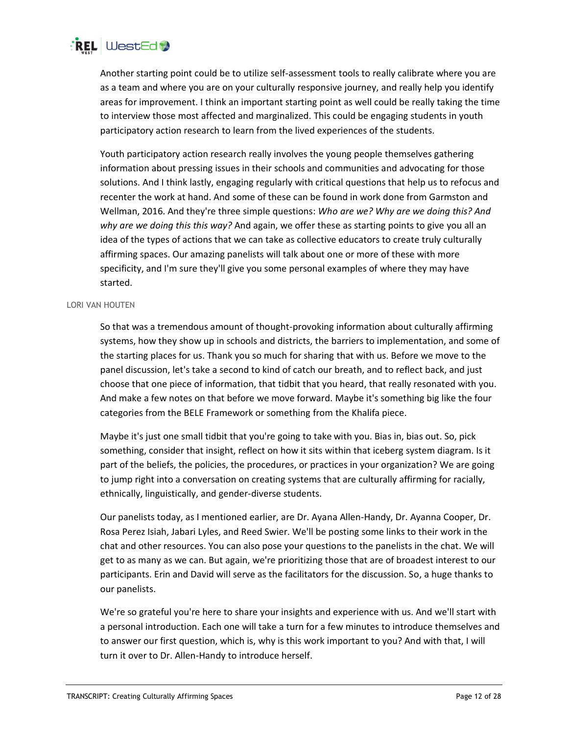

Another starting point could be to utilize self-assessment tools to really calibrate where you are as a team and where you are on your culturally responsive journey, and really help you identify areas for improvement. I think an important starting point as well could be really taking the time to interview those most affected and marginalized. This could be engaging students in youth participatory action research to learn from the lived experiences of the students.

Youth participatory action research really involves the young people themselves gathering information about pressing issues in their schools and communities and advocating for those solutions. And I think lastly, engaging regularly with critical questions that help us to refocus and recenter the work at hand. And some of these can be found in work done from Garmston and Wellman, 2016. And they're three simple questions: *Who are we? Why are we doing this? And why are we doing this this way?* And again, we offer these as starting points to give you all an idea of the types of actions that we can take as collective educators to create truly culturally affirming spaces. Our amazing panelists will talk about one or more of these with more specificity, and I'm sure they'll give you some personal examples of where they may have started.

## LORI VAN HOUTEN

So that was a tremendous amount of thought-provoking information about culturally affirming systems, how they show up in schools and districts, the barriers to implementation, and some of the starting places for us. Thank you so much for sharing that with us. Before we move to the panel discussion, let's take a second to kind of catch our breath, and to reflect back, and just choose that one piece of information, that tidbit that you heard, that really resonated with you. And make a few notes on that before we move forward. Maybe it's something big like the four categories from the BELE Framework or something from the Khalifa piece.

Maybe it's just one small tidbit that you're going to take with you. Bias in, bias out. So, pick something, consider that insight, reflect on how it sits within that iceberg system diagram. Is it part of the beliefs, the policies, the procedures, or practices in your organization? We are going to jump right into a conversation on creating systems that are culturally affirming for racially, ethnically, linguistically, and gender-diverse students.

Our panelists today, as I mentioned earlier, are Dr. Ayana Allen-Handy, Dr. Ayanna Cooper, Dr. Rosa Perez Isiah, Jabari Lyles, and Reed Swier. We'll be posting some links to their work in the chat and other resources. You can also pose your questions to the panelists in the chat. We will get to as many as we can. But again, we're prioritizing those that are of broadest interest to our participants. Erin and David will serve as the facilitators for the discussion. So, a huge thanks to our panelists.

We're so grateful you're here to share your insights and experience with us. And we'll start with a personal introduction. Each one will take a turn for a few minutes to introduce themselves and to answer our first question, which is, why is this work important to you? And with that, I will turn it over to Dr. Allen-Handy to introduce herself.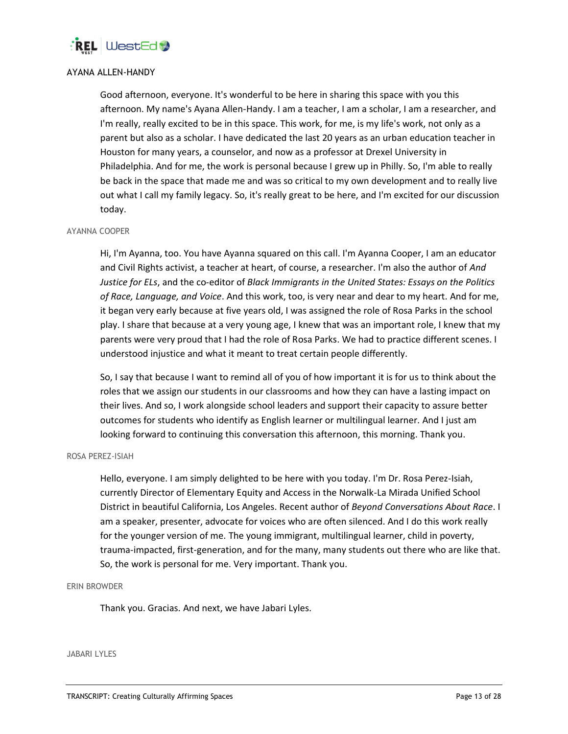

# AYANA ALLEN-HANDY

Good afternoon, everyone. It's wonderful to be here in sharing this space with you this afternoon. My name's Ayana Allen-Handy. I am a teacher, I am a scholar, I am a researcher, and I'm really, really excited to be in this space. This work, for me, is my life's work, not only as a parent but also as a scholar. I have dedicated the last 20 years as an urban education teacher in Houston for many years, a counselor, and now as a professor at Drexel University in Philadelphia. And for me, the work is personal because I grew up in Philly. So, I'm able to really be back in the space that made me and was so critical to my own development and to really live out what I call my family legacy. So, it's really great to be here, and I'm excited for our discussion today.

## AYANNA COOPER

Hi, I'm Ayanna, too. You have Ayanna squared on this call. I'm Ayanna Cooper, I am an educator and Civil Rights activist, a teacher at heart, of course, a researcher. I'm also the author of *And Justice for ELs*, and the co-editor of *Black Immigrants in the United States: Essays on the Politics of Race, Language, and Voice*. And this work, too, is very near and dear to my heart. And for me, it began very early because at five years old, I was assigned the role of Rosa Parks in the school play. I share that because at a very young age, I knew that was an important role, I knew that my parents were very proud that I had the role of Rosa Parks. We had to practice different scenes. I understood injustice and what it meant to treat certain people differently.

So, I say that because I want to remind all of you of how important it is for us to think about the roles that we assign our students in our classrooms and how they can have a lasting impact on their lives. And so, I work alongside school leaders and support their capacity to assure better outcomes for students who identify as English learner or multilingual learner. And I just am looking forward to continuing this conversation this afternoon, this morning. Thank you.

# ROSA PEREZ-ISIAH

Hello, everyone. I am simply delighted to be here with you today. I'm Dr. Rosa Perez-Isiah, currently Director of Elementary Equity and Access in the Norwalk-La Mirada Unified School District in beautiful California, Los Angeles. Recent author of *Beyond Conversations About Race*. I am a speaker, presenter, advocate for voices who are often silenced. And I do this work really for the younger version of me. The young immigrant, multilingual learner, child in poverty, trauma-impacted, first-generation, and for the many, many students out there who are like that. So, the work is personal for me. Very important. Thank you.

# ERIN BROWDER

Thank you. Gracias. And next, we have Jabari Lyles.

#### JABARI LYLES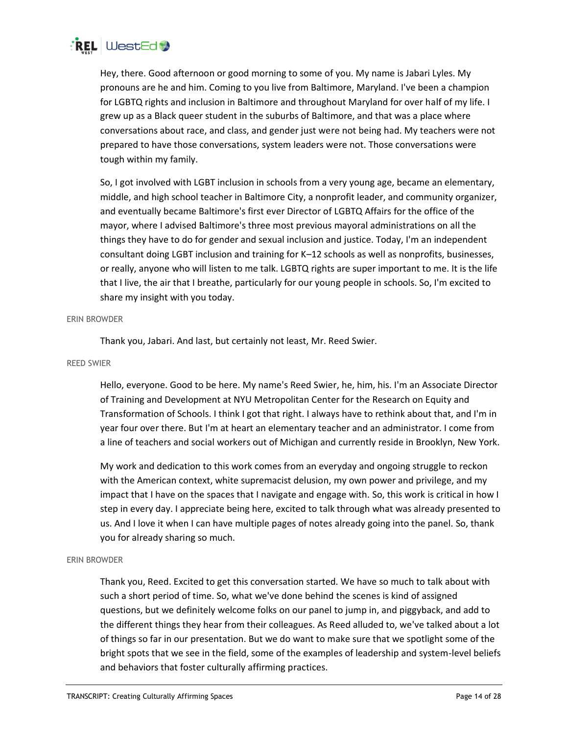

Hey, there. Good afternoon or good morning to some of you. My name is Jabari Lyles. My pronouns are he and him. Coming to you live from Baltimore, Maryland. I've been a champion for LGBTQ rights and inclusion in Baltimore and throughout Maryland for over half of my life. I grew up as a Black queer student in the suburbs of Baltimore, and that was a place where conversations about race, and class, and gender just were not being had. My teachers were not prepared to have those conversations, system leaders were not. Those conversations were tough within my family.

So, I got involved with LGBT inclusion in schools from a very young age, became an elementary, middle, and high school teacher in Baltimore City, a nonprofit leader, and community organizer, and eventually became Baltimore's first ever Director of LGBTQ Affairs for the office of the mayor, where I advised Baltimore's three most previous mayoral administrations on all the things they have to do for gender and sexual inclusion and justice. Today, I'm an independent consultant doing LGBT inclusion and training for K–12 schools as well as nonprofits, businesses, or really, anyone who will listen to me talk. LGBTQ rights are super important to me. It is the life that I live, the air that I breathe, particularly for our young people in schools. So, I'm excited to share my insight with you today.

## ERIN BROWDER

Thank you, Jabari. And last, but certainly not least, Mr. Reed Swier.

#### REED SWIER

Hello, everyone. Good to be here. My name's Reed Swier, he, him, his. I'm an Associate Director of Training and Development at NYU Metropolitan Center for the Research on Equity and Transformation of Schools. I think I got that right. I always have to rethink about that, and I'm in year four over there. But I'm at heart an elementary teacher and an administrator. I come from a line of teachers and social workers out of Michigan and currently reside in Brooklyn, New York.

My work and dedication to this work comes from an everyday and ongoing struggle to reckon with the American context, white supremacist delusion, my own power and privilege, and my impact that I have on the spaces that I navigate and engage with. So, this work is critical in how I step in every day. I appreciate being here, excited to talk through what was already presented to us. And I love it when I can have multiple pages of notes already going into the panel. So, thank you for already sharing so much.

#### ERIN BROWDER

Thank you, Reed. Excited to get this conversation started. We have so much to talk about with such a short period of time. So, what we've done behind the scenes is kind of assigned questions, but we definitely welcome folks on our panel to jump in, and piggyback, and add to the different things they hear from their colleagues. As Reed alluded to, we've talked about a lot of things so far in our presentation. But we do want to make sure that we spotlight some of the bright spots that we see in the field, some of the examples of leadership and system-level beliefs and behaviors that foster culturally affirming practices.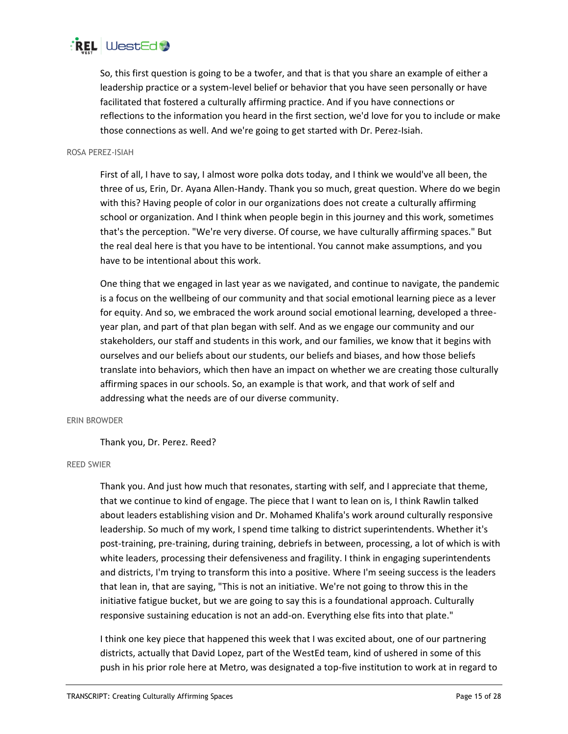

So, this first question is going to be a twofer, and that is that you share an example of either a leadership practice or a system-level belief or behavior that you have seen personally or have facilitated that fostered a culturally affirming practice. And if you have connections or reflections to the information you heard in the first section, we'd love for you to include or make those connections as well. And we're going to get started with Dr. Perez-Isiah.

# ROSA PEREZ-ISIAH

First of all, I have to say, I almost wore polka dots today, and I think we would've all been, the three of us, Erin, Dr. Ayana Allen-Handy. Thank you so much, great question. Where do we begin with this? Having people of color in our organizations does not create a culturally affirming school or organization. And I think when people begin in this journey and this work, sometimes that's the perception. "We're very diverse. Of course, we have culturally affirming spaces." But the real deal here is that you have to be intentional. You cannot make assumptions, and you have to be intentional about this work.

One thing that we engaged in last year as we navigated, and continue to navigate, the pandemic is a focus on the wellbeing of our community and that social emotional learning piece as a lever for equity. And so, we embraced the work around social emotional learning, developed a threeyear plan, and part of that plan began with self. And as we engage our community and our stakeholders, our staff and students in this work, and our families, we know that it begins with ourselves and our beliefs about our students, our beliefs and biases, and how those beliefs translate into behaviors, which then have an impact on whether we are creating those culturally affirming spaces in our schools. So, an example is that work, and that work of self and addressing what the needs are of our diverse community.

#### ERIN BROWDER

Thank you, Dr. Perez. Reed?

## REED SWIER

Thank you. And just how much that resonates, starting with self, and I appreciate that theme, that we continue to kind of engage. The piece that I want to lean on is, I think Rawlin talked about leaders establishing vision and Dr. Mohamed Khalifa's work around culturally responsive leadership. So much of my work, I spend time talking to district superintendents. Whether it's post-training, pre-training, during training, debriefs in between, processing, a lot of which is with white leaders, processing their defensiveness and fragility. I think in engaging superintendents and districts, I'm trying to transform this into a positive. Where I'm seeing success is the leaders that lean in, that are saying, "This is not an initiative. We're not going to throw this in the initiative fatigue bucket, but we are going to say this is a foundational approach. Culturally responsive sustaining education is not an add-on. Everything else fits into that plate."

I think one key piece that happened this week that I was excited about, one of our partnering districts, actually that David Lopez, part of the WestEd team, kind of ushered in some of this push in his prior role here at Metro, was designated a top-five institution to work at in regard to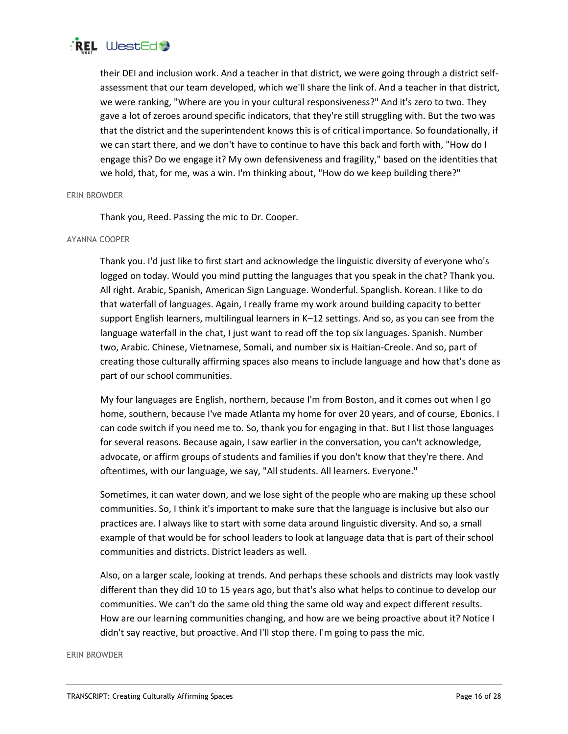

their DEI and inclusion work. And a teacher in that district, we were going through a district selfassessment that our team developed, which we'll share the link of. And a teacher in that district, we were ranking, "Where are you in your cultural responsiveness?" And it's zero to two. They gave a lot of zeroes around specific indicators, that they're still struggling with. But the two was that the district and the superintendent knows this is of critical importance. So foundationally, if we can start there, and we don't have to continue to have this back and forth with, "How do I engage this? Do we engage it? My own defensiveness and fragility," based on the identities that we hold, that, for me, was a win. I'm thinking about, "How do we keep building there?"

# ERIN BROWDER

Thank you, Reed. Passing the mic to Dr. Cooper.

#### AYANNA COOPER

Thank you. I'd just like to first start and acknowledge the linguistic diversity of everyone who's logged on today. Would you mind putting the languages that you speak in the chat? Thank you. All right. Arabic, Spanish, American Sign Language. Wonderful. Spanglish. Korean. I like to do that waterfall of languages. Again, I really frame my work around building capacity to better support English learners, multilingual learners in K–12 settings. And so, as you can see from the language waterfall in the chat, I just want to read off the top six languages. Spanish. Number two, Arabic. Chinese, Vietnamese, Somali, and number six is Haitian-Creole. And so, part of creating those culturally affirming spaces also means to include language and how that's done as part of our school communities.

My four languages are English, northern, because I'm from Boston, and it comes out when I go home, southern, because I've made Atlanta my home for over 20 years, and of course, Ebonics. I can code switch if you need me to. So, thank you for engaging in that. But I list those languages for several reasons. Because again, I saw earlier in the conversation, you can't acknowledge, advocate, or affirm groups of students and families if you don't know that they're there. And oftentimes, with our language, we say, "All students. All learners. Everyone."

Sometimes, it can water down, and we lose sight of the people who are making up these school communities. So, I think it's important to make sure that the language is inclusive but also our practices are. I always like to start with some data around linguistic diversity. And so, a small example of that would be for school leaders to look at language data that is part of their school communities and districts. District leaders as well.

Also, on a larger scale, looking at trends. And perhaps these schools and districts may look vastly different than they did 10 to 15 years ago, but that's also what helps to continue to develop our communities. We can't do the same old thing the same old way and expect different results. How are our learning communities changing, and how are we being proactive about it? Notice I didn't say reactive, but proactive. And I'll stop there. I'm going to pass the mic.

ERIN BROWDER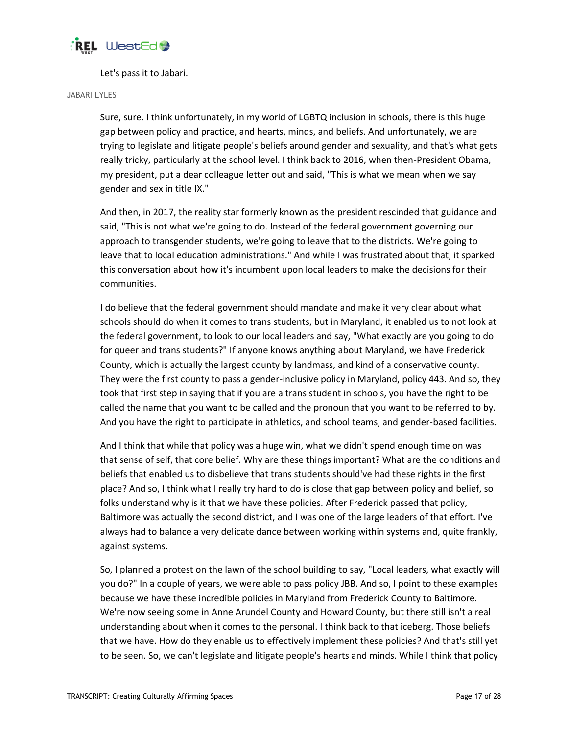

# Let's pass it to Jabari.

## JABARI LYLES

Sure, sure. I think unfortunately, in my world of LGBTQ inclusion in schools, there is this huge gap between policy and practice, and hearts, minds, and beliefs. And unfortunately, we are trying to legislate and litigate people's beliefs around gender and sexuality, and that's what gets really tricky, particularly at the school level. I think back to 2016, when then-President Obama, my president, put a dear colleague letter out and said, "This is what we mean when we say gender and sex in title IX."

And then, in 2017, the reality star formerly known as the president rescinded that guidance and said, "This is not what we're going to do. Instead of the federal government governing our approach to transgender students, we're going to leave that to the districts. We're going to leave that to local education administrations." And while I was frustrated about that, it sparked this conversation about how it's incumbent upon local leaders to make the decisions for their communities.

I do believe that the federal government should mandate and make it very clear about what schools should do when it comes to trans students, but in Maryland, it enabled us to not look at the federal government, to look to our local leaders and say, "What exactly are you going to do for queer and trans students?" If anyone knows anything about Maryland, we have Frederick County, which is actually the largest county by landmass, and kind of a conservative county. They were the first county to pass a gender-inclusive policy in Maryland, policy 443. And so, they took that first step in saying that if you are a trans student in schools, you have the right to be called the name that you want to be called and the pronoun that you want to be referred to by. And you have the right to participate in athletics, and school teams, and gender-based facilities.

And I think that while that policy was a huge win, what we didn't spend enough time on was that sense of self, that core belief. Why are these things important? What are the conditions and beliefs that enabled us to disbelieve that trans students should've had these rights in the first place? And so, I think what I really try hard to do is close that gap between policy and belief, so folks understand why is it that we have these policies. After Frederick passed that policy, Baltimore was actually the second district, and I was one of the large leaders of that effort. I've always had to balance a very delicate dance between working within systems and, quite frankly, against systems.

So, I planned a protest on the lawn of the school building to say, "Local leaders, what exactly will you do?" In a couple of years, we were able to pass policy JBB. And so, I point to these examples because we have these incredible policies in Maryland from Frederick County to Baltimore. We're now seeing some in Anne Arundel County and Howard County, but there still isn't a real understanding about when it comes to the personal. I think back to that iceberg. Those beliefs that we have. How do they enable us to effectively implement these policies? And that's still yet to be seen. So, we can't legislate and litigate people's hearts and minds. While I think that policy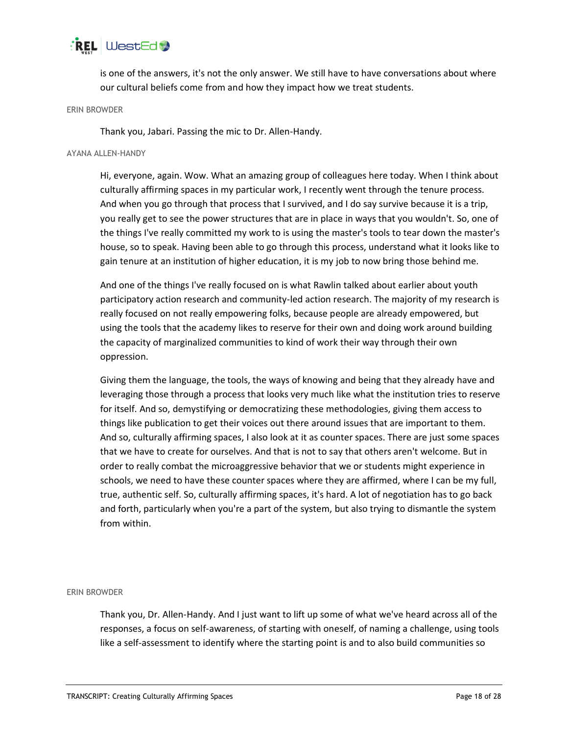

is one of the answers, it's not the only answer. We still have to have conversations about where our cultural beliefs come from and how they impact how we treat students.

## ERIN BROWDER

Thank you, Jabari. Passing the mic to Dr. Allen-Handy.

## AYANA ALLEN-HANDY

Hi, everyone, again. Wow. What an amazing group of colleagues here today. When I think about culturally affirming spaces in my particular work, I recently went through the tenure process. And when you go through that process that I survived, and I do say survive because it is a trip, you really get to see the power structures that are in place in ways that you wouldn't. So, one of the things I've really committed my work to is using the master's tools to tear down the master's house, so to speak. Having been able to go through this process, understand what it looks like to gain tenure at an institution of higher education, it is my job to now bring those behind me.

And one of the things I've really focused on is what Rawlin talked about earlier about youth participatory action research and community-led action research. The majority of my research is really focused on not really empowering folks, because people are already empowered, but using the tools that the academy likes to reserve for their own and doing work around building the capacity of marginalized communities to kind of work their way through their own oppression.

Giving them the language, the tools, the ways of knowing and being that they already have and leveraging those through a process that looks very much like what the institution tries to reserve for itself. And so, demystifying or democratizing these methodologies, giving them access to things like publication to get their voices out there around issues that are important to them. And so, culturally affirming spaces, I also look at it as counter spaces. There are just some spaces that we have to create for ourselves. And that is not to say that others aren't welcome. But in order to really combat the microaggressive behavior that we or students might experience in schools, we need to have these counter spaces where they are affirmed, where I can be my full, true, authentic self. So, culturally affirming spaces, it's hard. A lot of negotiation has to go back and forth, particularly when you're a part of the system, but also trying to dismantle the system from within.

## ERIN BROWDER

Thank you, Dr. Allen-Handy. And I just want to lift up some of what we've heard across all of the responses, a focus on self-awareness, of starting with oneself, of naming a challenge, using tools like a self-assessment to identify where the starting point is and to also build communities so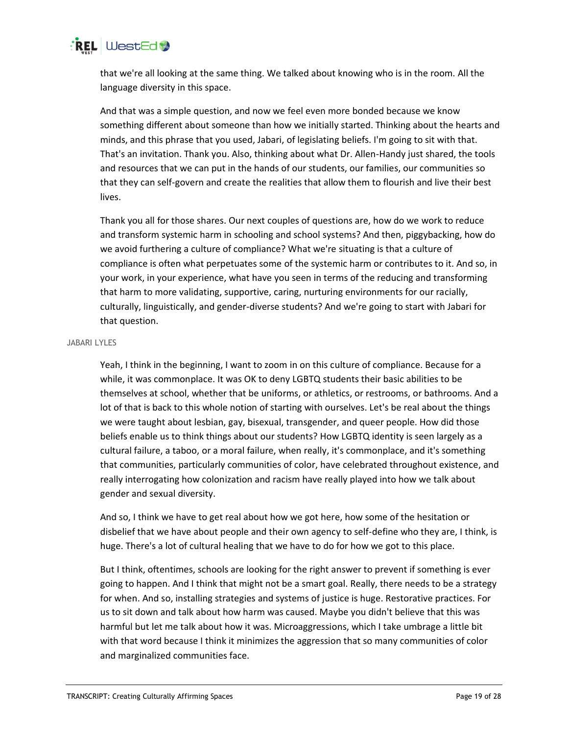

that we're all looking at the same thing. We talked about knowing who is in the room. All the language diversity in this space.

And that was a simple question, and now we feel even more bonded because we know something different about someone than how we initially started. Thinking about the hearts and minds, and this phrase that you used, Jabari, of legislating beliefs. I'm going to sit with that. That's an invitation. Thank you. Also, thinking about what Dr. Allen-Handy just shared, the tools and resources that we can put in the hands of our students, our families, our communities so that they can self-govern and create the realities that allow them to flourish and live their best lives.

Thank you all for those shares. Our next couples of questions are, how do we work to reduce and transform systemic harm in schooling and school systems? And then, piggybacking, how do we avoid furthering a culture of compliance? What we're situating is that a culture of compliance is often what perpetuates some of the systemic harm or contributes to it. And so, in your work, in your experience, what have you seen in terms of the reducing and transforming that harm to more validating, supportive, caring, nurturing environments for our racially, culturally, linguistically, and gender-diverse students? And we're going to start with Jabari for that question.

## JABARI LYLES

Yeah, I think in the beginning, I want to zoom in on this culture of compliance. Because for a while, it was commonplace. It was OK to deny LGBTQ students their basic abilities to be themselves at school, whether that be uniforms, or athletics, or restrooms, or bathrooms. And a lot of that is back to this whole notion of starting with ourselves. Let's be real about the things we were taught about lesbian, gay, bisexual, transgender, and queer people. How did those beliefs enable us to think things about our students? How LGBTQ identity is seen largely as a cultural failure, a taboo, or a moral failure, when really, it's commonplace, and it's something that communities, particularly communities of color, have celebrated throughout existence, and really interrogating how colonization and racism have really played into how we talk about gender and sexual diversity.

And so, I think we have to get real about how we got here, how some of the hesitation or disbelief that we have about people and their own agency to self-define who they are, I think, is huge. There's a lot of cultural healing that we have to do for how we got to this place.

But I think, oftentimes, schools are looking for the right answer to prevent if something is ever going to happen. And I think that might not be a smart goal. Really, there needs to be a strategy for when. And so, installing strategies and systems of justice is huge. Restorative practices. For us to sit down and talk about how harm was caused. Maybe you didn't believe that this was harmful but let me talk about how it was. Microaggressions, which I take umbrage a little bit with that word because I think it minimizes the aggression that so many communities of color and marginalized communities face.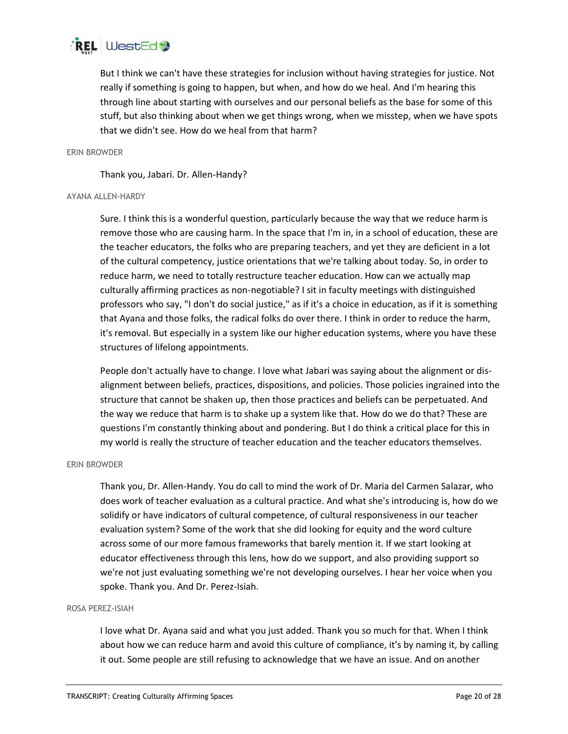

But I think we can't have these strategies for inclusion without having strategies for justice. Not really if something is going to happen, but when, and how do we heal. And I'm hearing this through line about starting with ourselves and our personal beliefs as the base for some of this stuff, but also thinking about when we get things wrong, when we misstep, when we have spots that we didn't see. How do we heal from that harm?

# ERIN BROWDER

Thank you, Jabari. Dr. Allen-Handy?

#### AYANA ALLEN-HARDY

Sure. I think this is a wonderful question, particularly because the way that we reduce harm is remove those who are causing harm. In the space that I'm in, in a school of education, these are the teacher educators, the folks who are preparing teachers, and yet they are deficient in a lot of the cultural competency, justice orientations that we're talking about today. So, in order to reduce harm, we need to totally restructure teacher education. How can we actually map culturally affirming practices as non-negotiable? I sit in faculty meetings with distinguished professors who say, "I don't do social justice," as if it's a choice in education, as if it is something that Ayana and those folks, the radical folks do over there. I think in order to reduce the harm, it's removal. But especially in a system like our higher education systems, where you have these structures of lifelong appointments.

People don't actually have to change. I love what Jabari was saying about the alignment or disalignment between beliefs, practices, dispositions, and policies. Those policies ingrained into the structure that cannot be shaken up, then those practices and beliefs can be perpetuated. And the way we reduce that harm is to shake up a system like that. How do we do that? These are questions I'm constantly thinking about and pondering. But I do think a critical place for this in my world is really the structure of teacher education and the teacher educators themselves.

## ERIN BROWDER

Thank you, Dr. Allen-Handy. You do call to mind the work of Dr. Maria del Carmen Salazar, who does work of teacher evaluation as a cultural practice. And what she's introducing is, how do we solidify or have indicators of cultural competence, of cultural responsiveness in our teacher evaluation system? Some of the work that she did looking for equity and the word culture across some of our more famous frameworks that barely mention it. If we start looking at educator effectiveness through this lens, how do we support, and also providing support so we're not just evaluating something we're not developing ourselves. I hear her voice when you spoke. Thank you. And Dr. Perez-Isiah.

## ROSA PEREZ-ISIAH

I love what Dr. Ayana said and what you just added. Thank you so much for that. When I think about how we can reduce harm and avoid this culture of compliance, it's by naming it, by calling it out. Some people are still refusing to acknowledge that we have an issue. And on another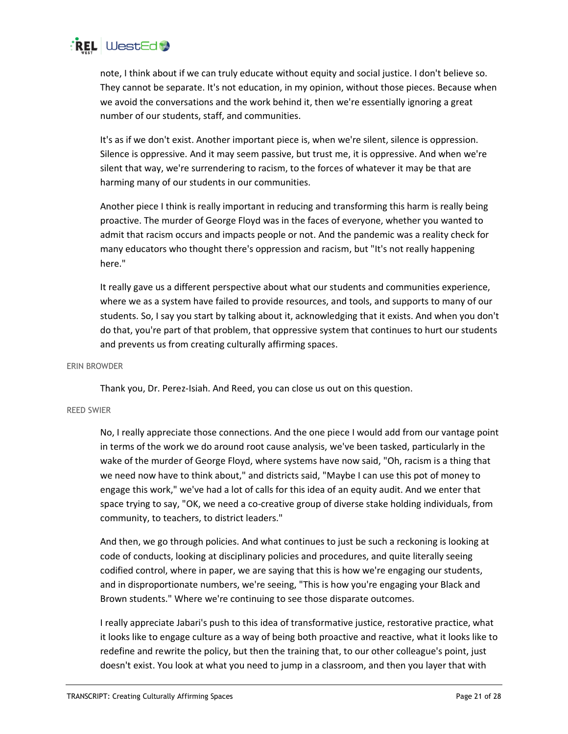

note, I think about if we can truly educate without equity and social justice. I don't believe so. They cannot be separate. It's not education, in my opinion, without those pieces. Because when we avoid the conversations and the work behind it, then we're essentially ignoring a great number of our students, staff, and communities.

It's as if we don't exist. Another important piece is, when we're silent, silence is oppression. Silence is oppressive. And it may seem passive, but trust me, it is oppressive. And when we're silent that way, we're surrendering to racism, to the forces of whatever it may be that are harming many of our students in our communities.

Another piece I think is really important in reducing and transforming this harm is really being proactive. The murder of George Floyd was in the faces of everyone, whether you wanted to admit that racism occurs and impacts people or not. And the pandemic was a reality check for many educators who thought there's oppression and racism, but "It's not really happening here."

It really gave us a different perspective about what our students and communities experience, where we as a system have failed to provide resources, and tools, and supports to many of our students. So, I say you start by talking about it, acknowledging that it exists. And when you don't do that, you're part of that problem, that oppressive system that continues to hurt our students and prevents us from creating culturally affirming spaces.

#### ERIN BROWDER

Thank you, Dr. Perez-Isiah. And Reed, you can close us out on this question.

## REED SWIER

No, I really appreciate those connections. And the one piece I would add from our vantage point in terms of the work we do around root cause analysis, we've been tasked, particularly in the wake of the murder of George Floyd, where systems have now said, "Oh, racism is a thing that we need now have to think about," and districts said, "Maybe I can use this pot of money to engage this work," we've had a lot of calls for this idea of an equity audit. And we enter that space trying to say, "OK, we need a co-creative group of diverse stake holding individuals, from community, to teachers, to district leaders."

And then, we go through policies. And what continues to just be such a reckoning is looking at code of conducts, looking at disciplinary policies and procedures, and quite literally seeing codified control, where in paper, we are saying that this is how we're engaging our students, and in disproportionate numbers, we're seeing, "This is how you're engaging your Black and Brown students." Where we're continuing to see those disparate outcomes.

I really appreciate Jabari's push to this idea of transformative justice, restorative practice, what it looks like to engage culture as a way of being both proactive and reactive, what it looks like to redefine and rewrite the policy, but then the training that, to our other colleague's point, just doesn't exist. You look at what you need to jump in a classroom, and then you layer that with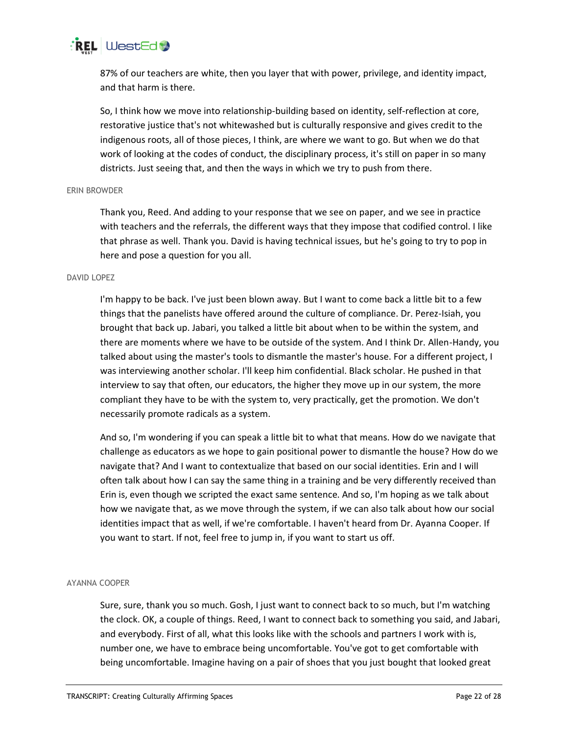

87% of our teachers are white, then you layer that with power, privilege, and identity impact, and that harm is there.

So, I think how we move into relationship-building based on identity, self-reflection at core, restorative justice that's not whitewashed but is culturally responsive and gives credit to the indigenous roots, all of those pieces, I think, are where we want to go. But when we do that work of looking at the codes of conduct, the disciplinary process, it's still on paper in so many districts. Just seeing that, and then the ways in which we try to push from there.

## ERIN BROWDER

Thank you, Reed. And adding to your response that we see on paper, and we see in practice with teachers and the referrals, the different ways that they impose that codified control. I like that phrase as well. Thank you. David is having technical issues, but he's going to try to pop in here and pose a question for you all.

## DAVID LOPEZ

I'm happy to be back. I've just been blown away. But I want to come back a little bit to a few things that the panelists have offered around the culture of compliance. Dr. Perez-Isiah, you brought that back up. Jabari, you talked a little bit about when to be within the system, and there are moments where we have to be outside of the system. And I think Dr. Allen-Handy, you talked about using the master's tools to dismantle the master's house. For a different project, I was interviewing another scholar. I'll keep him confidential. Black scholar. He pushed in that interview to say that often, our educators, the higher they move up in our system, the more compliant they have to be with the system to, very practically, get the promotion. We don't necessarily promote radicals as a system.

And so, I'm wondering if you can speak a little bit to what that means. How do we navigate that challenge as educators as we hope to gain positional power to dismantle the house? How do we navigate that? And I want to contextualize that based on our social identities. Erin and I will often talk about how I can say the same thing in a training and be very differently received than Erin is, even though we scripted the exact same sentence. And so, I'm hoping as we talk about how we navigate that, as we move through the system, if we can also talk about how our social identities impact that as well, if we're comfortable. I haven't heard from Dr. Ayanna Cooper. If you want to start. If not, feel free to jump in, if you want to start us off.

#### AYANNA COOPER

Sure, sure, thank you so much. Gosh, I just want to connect back to so much, but I'm watching the clock. OK, a couple of things. Reed, I want to connect back to something you said, and Jabari, and everybody. First of all, what this looks like with the schools and partners I work with is, number one, we have to embrace being uncomfortable. You've got to get comfortable with being uncomfortable. Imagine having on a pair of shoes that you just bought that looked great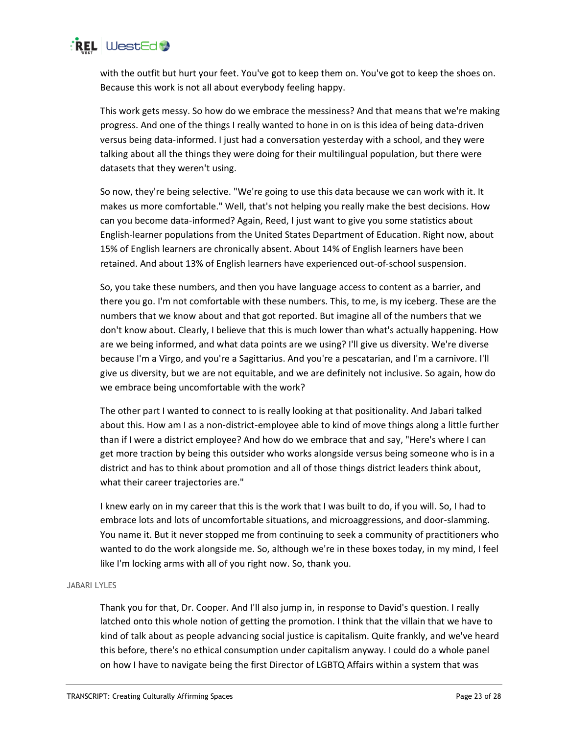

with the outfit but hurt your feet. You've got to keep them on. You've got to keep the shoes on. Because this work is not all about everybody feeling happy.

This work gets messy. So how do we embrace the messiness? And that means that we're making progress. And one of the things I really wanted to hone in on is this idea of being data-driven versus being data-informed. I just had a conversation yesterday with a school, and they were talking about all the things they were doing for their multilingual population, but there were datasets that they weren't using.

So now, they're being selective. "We're going to use this data because we can work with it. It makes us more comfortable." Well, that's not helping you really make the best decisions. How can you become data-informed? Again, Reed, I just want to give you some statistics about English-learner populations from the United States Department of Education. Right now, about 15% of English learners are chronically absent. About 14% of English learners have been retained. And about 13% of English learners have experienced out-of-school suspension.

So, you take these numbers, and then you have language access to content as a barrier, and there you go. I'm not comfortable with these numbers. This, to me, is my iceberg. These are the numbers that we know about and that got reported. But imagine all of the numbers that we don't know about. Clearly, I believe that this is much lower than what's actually happening. How are we being informed, and what data points are we using? I'll give us diversity. We're diverse because I'm a Virgo, and you're a Sagittarius. And you're a pescatarian, and I'm a carnivore. I'll give us diversity, but we are not equitable, and we are definitely not inclusive. So again, how do we embrace being uncomfortable with the work?

The other part I wanted to connect to is really looking at that positionality. And Jabari talked about this. How am I as a non-district-employee able to kind of move things along a little further than if I were a district employee? And how do we embrace that and say, "Here's where I can get more traction by being this outsider who works alongside versus being someone who is in a district and has to think about promotion and all of those things district leaders think about, what their career trajectories are."

I knew early on in my career that this is the work that I was built to do, if you will. So, I had to embrace lots and lots of uncomfortable situations, and microaggressions, and door-slamming. You name it. But it never stopped me from continuing to seek a community of practitioners who wanted to do the work alongside me. So, although we're in these boxes today, in my mind, I feel like I'm locking arms with all of you right now. So, thank you.

# JABARI LYLES

Thank you for that, Dr. Cooper. And I'll also jump in, in response to David's question. I really latched onto this whole notion of getting the promotion. I think that the villain that we have to kind of talk about as people advancing social justice is capitalism. Quite frankly, and we've heard this before, there's no ethical consumption under capitalism anyway. I could do a whole panel on how I have to navigate being the first Director of LGBTQ Affairs within a system that was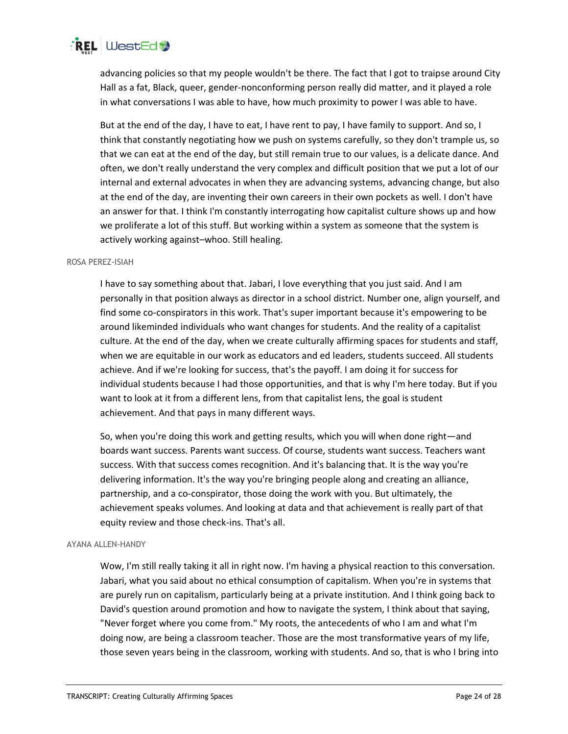

advancing policies so that my people wouldn't be there. The fact that I got to traipse around City Hall as a fat, Black, queer, gender-nonconforming person really did matter, and it played a role in what conversations I was able to have, how much proximity to power I was able to have.

But at the end of the day, I have to eat, I have rent to pay, I have family to support. And so, I think that constantly negotiating how we push on systems carefully, so they don't trample us, so that we can eat at the end of the day, but still remain true to our values, is a delicate dance. And often, we don't really understand the very complex and difficult position that we put a lot of our internal and external advocates in when they are advancing systems, advancing change, but also at the end of the day, are inventing their own careers in their own pockets as well. I don't have an answer for that. I think I'm constantly interrogating how capitalist culture shows up and how we proliferate a lot of this stuff. But working within a system as someone that the system is actively working against–whoo. Still healing.

#### ROSA PEREZ-ISIAH

I have to say something about that. Jabari, I love everything that you just said. And I am personally in that position always as director in a school district. Number one, align yourself, and find some co-conspirators in this work. That's super important because it's empowering to be around likeminded individuals who want changes for students. And the reality of a capitalist culture. At the end of the day, when we create culturally affirming spaces for students and staff, when we are equitable in our work as educators and ed leaders, students succeed. All students achieve. And if we're looking for success, that's the payoff. I am doing it for success for individual students because I had those opportunities, and that is why I'm here today. But if you want to look at it from a different lens, from that capitalist lens, the goal is student achievement. And that pays in many different ways.

So, when you're doing this work and getting results, which you will when done right—and boards want success. Parents want success. Of course, students want success. Teachers want success. With that success comes recognition. And it's balancing that. It is the way you're delivering information. It's the way you're bringing people along and creating an alliance, partnership, and a co-conspirator, those doing the work with you. But ultimately, the achievement speaks volumes. And looking at data and that achievement is really part of that equity review and those check-ins. That's all.

#### AYANA ALLEN-HANDY

Wow, I'm still really taking it all in right now. I'm having a physical reaction to this conversation. Jabari, what you said about no ethical consumption of capitalism. When you're in systems that are purely run on capitalism, particularly being at a private institution. And I think going back to David's question around promotion and how to navigate the system, I think about that saying, "Never forget where you come from." My roots, the antecedents of who I am and what I'm doing now, are being a classroom teacher. Those are the most transformative years of my life, those seven years being in the classroom, working with students. And so, that is who I bring into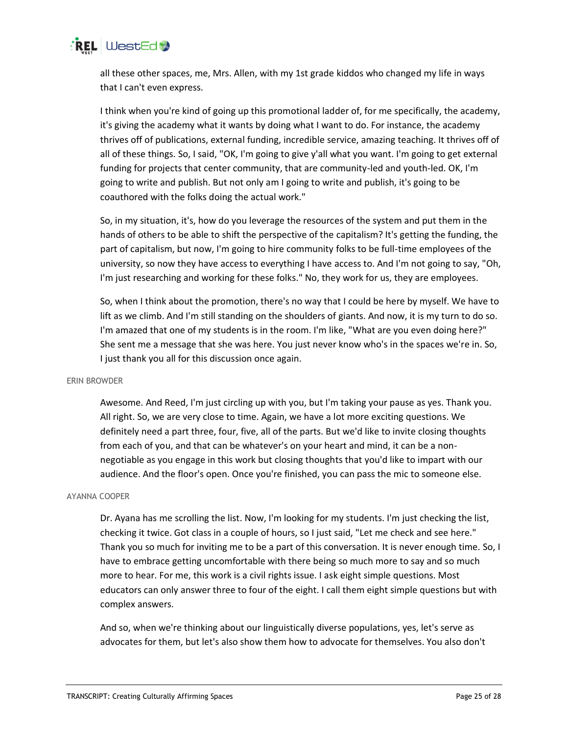

all these other spaces, me, Mrs. Allen, with my 1st grade kiddos who changed my life in ways that I can't even express.

I think when you're kind of going up this promotional ladder of, for me specifically, the academy, it's giving the academy what it wants by doing what I want to do. For instance, the academy thrives off of publications, external funding, incredible service, amazing teaching. It thrives off of all of these things. So, I said, "OK, I'm going to give y'all what you want. I'm going to get external funding for projects that center community, that are community-led and youth-led. OK, I'm going to write and publish. But not only am I going to write and publish, it's going to be coauthored with the folks doing the actual work."

So, in my situation, it's, how do you leverage the resources of the system and put them in the hands of others to be able to shift the perspective of the capitalism? It's getting the funding, the part of capitalism, but now, I'm going to hire community folks to be full-time employees of the university, so now they have access to everything I have access to. And I'm not going to say, "Oh, I'm just researching and working for these folks." No, they work for us, they are employees.

So, when I think about the promotion, there's no way that I could be here by myself. We have to lift as we climb. And I'm still standing on the shoulders of giants. And now, it is my turn to do so. I'm amazed that one of my students is in the room. I'm like, "What are you even doing here?" She sent me a message that she was here. You just never know who's in the spaces we're in. So, I just thank you all for this discussion once again.

## ERIN BROWDER

Awesome. And Reed, I'm just circling up with you, but I'm taking your pause as yes. Thank you. All right. So, we are very close to time. Again, we have a lot more exciting questions. We definitely need a part three, four, five, all of the parts. But we'd like to invite closing thoughts from each of you, and that can be whatever's on your heart and mind, it can be a nonnegotiable as you engage in this work but closing thoughts that you'd like to impart with our audience. And the floor's open. Once you're finished, you can pass the mic to someone else.

## AYANNA COOPER

Dr. Ayana has me scrolling the list. Now, I'm looking for my students. I'm just checking the list, checking it twice. Got class in a couple of hours, so I just said, "Let me check and see here." Thank you so much for inviting me to be a part of this conversation. It is never enough time. So, I have to embrace getting uncomfortable with there being so much more to say and so much more to hear. For me, this work is a civil rights issue. I ask eight simple questions. Most educators can only answer three to four of the eight. I call them eight simple questions but with complex answers.

And so, when we're thinking about our linguistically diverse populations, yes, let's serve as advocates for them, but let's also show them how to advocate for themselves. You also don't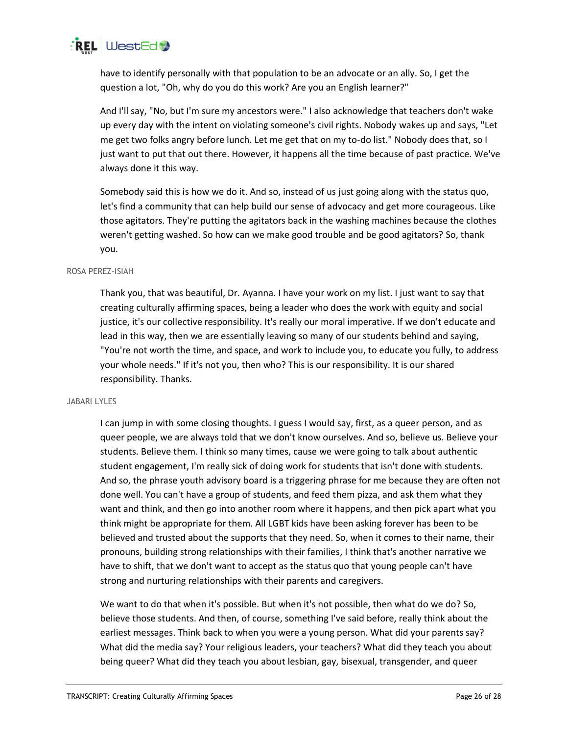

have to identify personally with that population to be an advocate or an ally. So, I get the question a lot, "Oh, why do you do this work? Are you an English learner?"

And I'll say, "No, but I'm sure my ancestors were." I also acknowledge that teachers don't wake up every day with the intent on violating someone's civil rights. Nobody wakes up and says, "Let me get two folks angry before lunch. Let me get that on my to-do list." Nobody does that, so I just want to put that out there. However, it happens all the time because of past practice. We've always done it this way.

Somebody said this is how we do it. And so, instead of us just going along with the status quo, let's find a community that can help build our sense of advocacy and get more courageous. Like those agitators. They're putting the agitators back in the washing machines because the clothes weren't getting washed. So how can we make good trouble and be good agitators? So, thank you.

## ROSA PEREZ-ISIAH

Thank you, that was beautiful, Dr. Ayanna. I have your work on my list. I just want to say that creating culturally affirming spaces, being a leader who does the work with equity and social justice, it's our collective responsibility. It's really our moral imperative. If we don't educate and lead in this way, then we are essentially leaving so many of our students behind and saying, "You're not worth the time, and space, and work to include you, to educate you fully, to address your whole needs." If it's not you, then who? This is our responsibility. It is our shared responsibility. Thanks.

#### JABARI LYLES

I can jump in with some closing thoughts. I guess I would say, first, as a queer person, and as queer people, we are always told that we don't know ourselves. And so, believe us. Believe your students. Believe them. I think so many times, cause we were going to talk about authentic student engagement, I'm really sick of doing work for students that isn't done with students. And so, the phrase youth advisory board is a triggering phrase for me because they are often not done well. You can't have a group of students, and feed them pizza, and ask them what they want and think, and then go into another room where it happens, and then pick apart what you think might be appropriate for them. All LGBT kids have been asking forever has been to be believed and trusted about the supports that they need. So, when it comes to their name, their pronouns, building strong relationships with their families, I think that's another narrative we have to shift, that we don't want to accept as the status quo that young people can't have strong and nurturing relationships with their parents and caregivers.

We want to do that when it's possible. But when it's not possible, then what do we do? So, believe those students. And then, of course, something I've said before, really think about the earliest messages. Think back to when you were a young person. What did your parents say? What did the media say? Your religious leaders, your teachers? What did they teach you about being queer? What did they teach you about lesbian, gay, bisexual, transgender, and queer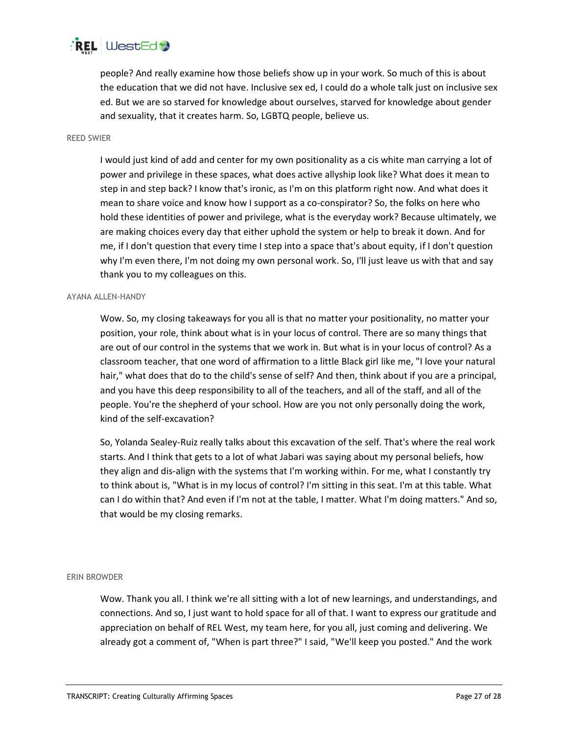

people? And really examine how those beliefs show up in your work. So much of this is about the education that we did not have. Inclusive sex ed, I could do a whole talk just on inclusive sex ed. But we are so starved for knowledge about ourselves, starved for knowledge about gender and sexuality, that it creates harm. So, LGBTQ people, believe us.

# REED SWIER

I would just kind of add and center for my own positionality as a cis white man carrying a lot of power and privilege in these spaces, what does active allyship look like? What does it mean to step in and step back? I know that's ironic, as I'm on this platform right now. And what does it mean to share voice and know how I support as a co-conspirator? So, the folks on here who hold these identities of power and privilege, what is the everyday work? Because ultimately, we are making choices every day that either uphold the system or help to break it down. And for me, if I don't question that every time I step into a space that's about equity, if I don't question why I'm even there, I'm not doing my own personal work. So, I'll just leave us with that and say thank you to my colleagues on this.

## AYANA ALLEN-HANDY

Wow. So, my closing takeaways for you all is that no matter your positionality, no matter your position, your role, think about what is in your locus of control. There are so many things that are out of our control in the systems that we work in. But what is in your locus of control? As a classroom teacher, that one word of affirmation to a little Black girl like me, "I love your natural hair," what does that do to the child's sense of self? And then, think about if you are a principal, and you have this deep responsibility to all of the teachers, and all of the staff, and all of the people. You're the shepherd of your school. How are you not only personally doing the work, kind of the self-excavation?

So, Yolanda Sealey-Ruiz really talks about this excavation of the self. That's where the real work starts. And I think that gets to a lot of what Jabari was saying about my personal beliefs, how they align and dis-align with the systems that I'm working within. For me, what I constantly try to think about is, "What is in my locus of control? I'm sitting in this seat. I'm at this table. What can I do within that? And even if I'm not at the table, I matter. What I'm doing matters." And so, that would be my closing remarks.

#### ERIN BROWDER

Wow. Thank you all. I think we're all sitting with a lot of new learnings, and understandings, and connections. And so, I just want to hold space for all of that. I want to express our gratitude and appreciation on behalf of REL West, my team here, for you all, just coming and delivering. We already got a comment of, "When is part three?" I said, "We'll keep you posted." And the work